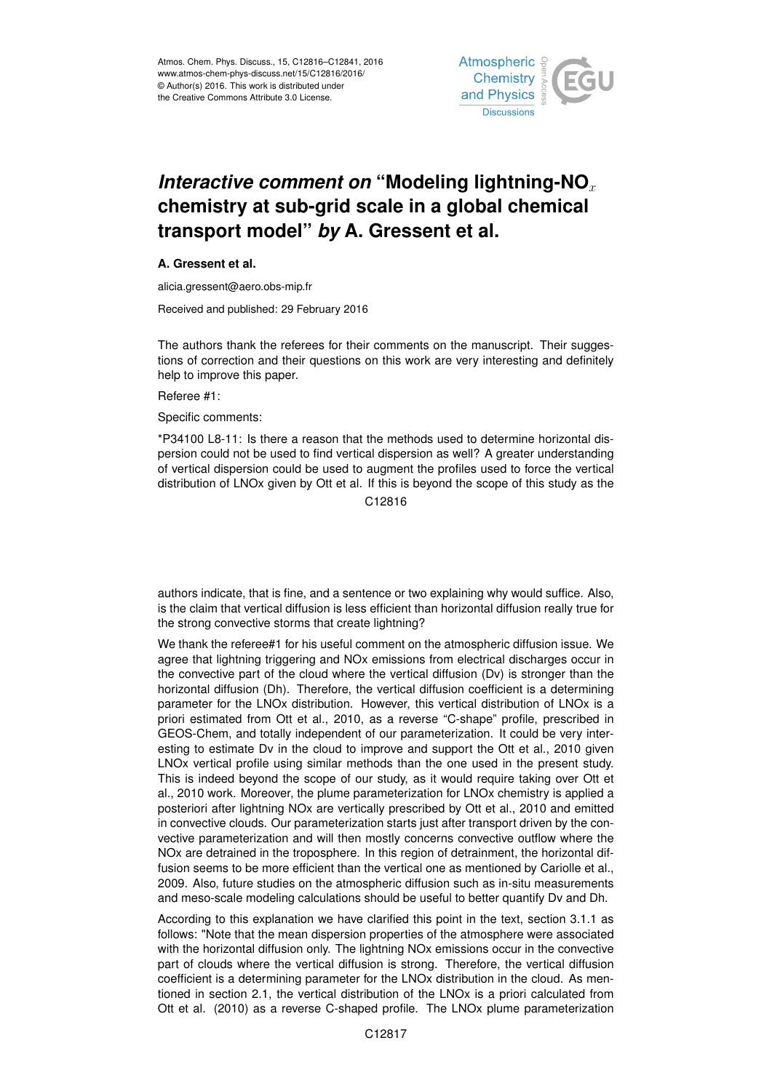

## *Interactive comment on* "Modeling lightning-NO<sub>x</sub> **chemistry at sub-grid scale in a global chemical transport model"** *by* **A. Gressent et al.**

## **A. Gressent et al.**

alicia.gressent@aero.obs-mip.fr

Received and published: 29 February 2016

The authors thank the referees for their comments on the manuscript. Their suggestions of correction and their questions on this work are very interesting and definitely help to improve this paper.

Referee #1:

Specific comments:

\*P34100 L8-11: Is there a reason that the methods used to determine horizontal dispersion could not be used to find vertical dispersion as well? A greater understanding of vertical dispersion could be used to augment the profiles used to force the vertical distribution of LNOx given by Ott et al. If this is beyond the scope of this study as the

C12816

authors indicate, that is fine, and a sentence or two explaining why would suffice. Also, is the claim that vertical diffusion is less efficient than horizontal diffusion really true for the strong convective storms that create lightning?

We thank the referee#1 for his useful comment on the atmospheric diffusion issue. We agree that lightning triggering and NOx emissions from electrical discharges occur in the convective part of the cloud where the vertical diffusion (Dv) is stronger than the horizontal diffusion (Dh). Therefore, the vertical diffusion coefficient is a determining parameter for the LNOx distribution. However, this vertical distribution of LNOx is a priori estimated from Ott et al., 2010, as a reverse "C-shape" profile, prescribed in GEOS-Chem, and totally independent of our parameterization. It could be very interesting to estimate Dv in the cloud to improve and support the Ott et al., 2010 given LNOx vertical profile using similar methods than the one used in the present study. This is indeed beyond the scope of our study, as it would require taking over Ott et al., 2010 work. Moreover, the plume parameterization for LNOx chemistry is applied a posteriori after lightning NOx are vertically prescribed by Ott et al., 2010 and emitted in convective clouds. Our parameterization starts just after transport driven by the convective parameterization and will then mostly concerns convective outflow where the NOx are detrained in the troposphere. In this region of detrainment, the horizontal diffusion seems to be more efficient than the vertical one as mentioned by Cariolle et al., 2009. Also, future studies on the atmospheric diffusion such as in-situ measurements and meso-scale modeling calculations should be useful to better quantify Dv and Dh.

According to this explanation we have clarified this point in the text, section 3.1.1 as follows: "Note that the mean dispersion properties of the atmosphere were associated with the horizontal diffusion only. The lightning NOx emissions occur in the convective part of clouds where the vertical diffusion is strong. Therefore, the vertical diffusion coefficient is a determining parameter for the LNOx distribution in the cloud. As mentioned in section 2.1, the vertical distribution of the LNOx is a priori calculated from Ott et al. (2010) as a reverse C-shaped profile. The LNOx plume parameterization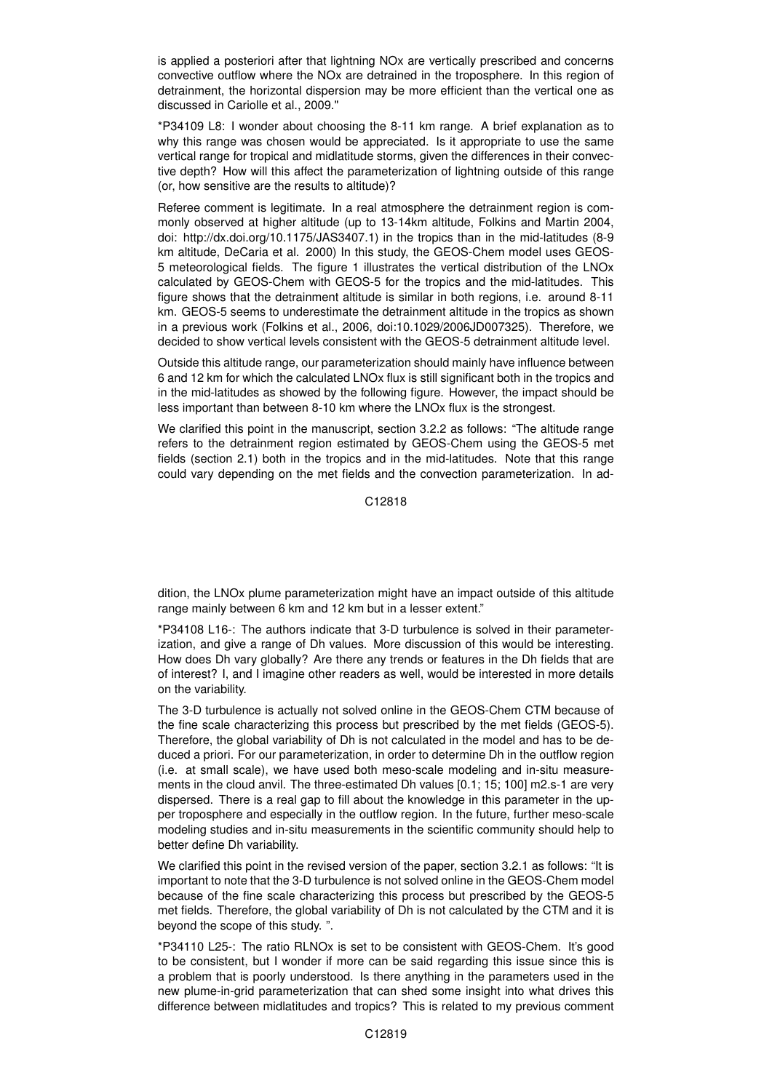is applied a posteriori after that lightning NOx are vertically prescribed and concerns convective outflow where the NOx are detrained in the troposphere. In this region of detrainment, the horizontal dispersion may be more efficient than the vertical one as discussed in Cariolle et al., 2009."

\*P34109 L8: I wonder about choosing the 8-11 km range. A brief explanation as to why this range was chosen would be appreciated. Is it appropriate to use the same vertical range for tropical and midlatitude storms, given the differences in their convective depth? How will this affect the parameterization of lightning outside of this range (or, how sensitive are the results to altitude)?

Referee comment is legitimate. In a real atmosphere the detrainment region is commonly observed at higher altitude (up to 13-14km altitude, Folkins and Martin 2004, doi: http://dx.doi.org/10.1175/JAS3407.1) in the tropics than in the mid-latitudes (8-9 km altitude, DeCaria et al. 2000) In this study, the GEOS-Chem model uses GEOS-5 meteorological fields. The figure 1 illustrates the vertical distribution of the LNOx calculated by GEOS-Chem with GEOS-5 for the tropics and the mid-latitudes. This figure shows that the detrainment altitude is similar in both regions, i.e. around 8-11 km. GEOS-5 seems to underestimate the detrainment altitude in the tropics as shown in a previous work (Folkins et al., 2006, doi:10.1029/2006JD007325). Therefore, we decided to show vertical levels consistent with the GEOS-5 detrainment altitude level.

Outside this altitude range, our parameterization should mainly have influence between 6 and 12 km for which the calculated LNOx flux is still significant both in the tropics and in the mid-latitudes as showed by the following figure. However, the impact should be less important than between 8-10 km where the LNOx flux is the strongest.

We clarified this point in the manuscript, section 3.2.2 as follows: "The altitude range refers to the detrainment region estimated by GEOS-Chem using the GEOS-5 met fields (section 2.1) both in the tropics and in the mid-latitudes. Note that this range could vary depending on the met fields and the convection parameterization. In ad-

C12818

dition, the LNOx plume parameterization might have an impact outside of this altitude range mainly between 6 km and 12 km but in a lesser extent."

\*P34108 L16-: The authors indicate that 3-D turbulence is solved in their parameterization, and give a range of Dh values. More discussion of this would be interesting. How does Dh vary globally? Are there any trends or features in the Dh fields that are of interest? I, and I imagine other readers as well, would be interested in more details on the variability.

The 3-D turbulence is actually not solved online in the GEOS-Chem CTM because of the fine scale characterizing this process but prescribed by the met fields (GEOS-5). Therefore, the global variability of Dh is not calculated in the model and has to be deduced a priori. For our parameterization, in order to determine Dh in the outflow region (i.e. at small scale), we have used both meso-scale modeling and in-situ measurements in the cloud anvil. The three-estimated Dh values [0.1; 15; 100] m2.s-1 are very dispersed. There is a real gap to fill about the knowledge in this parameter in the upper troposphere and especially in the outflow region. In the future, further meso-scale modeling studies and in-situ measurements in the scientific community should help to better define Dh variability.

We clarified this point in the revised version of the paper, section 3.2.1 as follows: "It is important to note that the 3-D turbulence is not solved online in the GEOS-Chem model because of the fine scale characterizing this process but prescribed by the GEOS-5 met fields. Therefore, the global variability of Dh is not calculated by the CTM and it is beyond the scope of this study. ".

\*P34110 L25-: The ratio RLNOx is set to be consistent with GEOS-Chem. It's good to be consistent, but I wonder if more can be said regarding this issue since this is a problem that is poorly understood. Is there anything in the parameters used in the new plume-in-grid parameterization that can shed some insight into what drives this difference between midlatitudes and tropics? This is related to my previous comment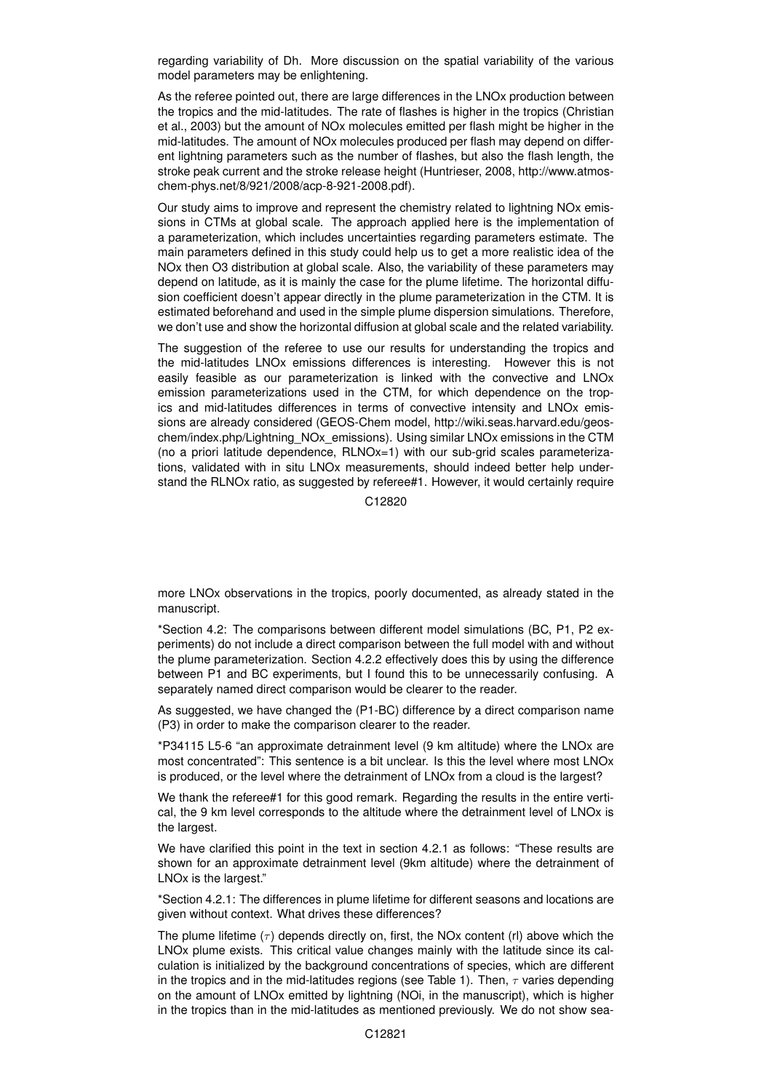regarding variability of Dh. More discussion on the spatial variability of the various model parameters may be enlightening.

As the referee pointed out, there are large differences in the LNOx production between the tropics and the mid-latitudes. The rate of flashes is higher in the tropics (Christian et al., 2003) but the amount of NOx molecules emitted per flash might be higher in the mid-latitudes. The amount of NOx molecules produced per flash may depend on different lightning parameters such as the number of flashes, but also the flash length, the stroke peak current and the stroke release height (Huntrieser, 2008, http://www.atmoschem-phys.net/8/921/2008/acp-8-921-2008.pdf).

Our study aims to improve and represent the chemistry related to lightning NOx emissions in CTMs at global scale. The approach applied here is the implementation of a parameterization, which includes uncertainties regarding parameters estimate. The main parameters defined in this study could help us to get a more realistic idea of the NOx then O3 distribution at global scale. Also, the variability of these parameters may depend on latitude, as it is mainly the case for the plume lifetime. The horizontal diffusion coefficient doesn't appear directly in the plume parameterization in the CTM. It is estimated beforehand and used in the simple plume dispersion simulations. Therefore, we don't use and show the horizontal diffusion at global scale and the related variability.

The suggestion of the referee to use our results for understanding the tropics and the mid-latitudes LNOx emissions differences is interesting. However this is not easily feasible as our parameterization is linked with the convective and LNOx emission parameterizations used in the CTM, for which dependence on the tropics and mid-latitudes differences in terms of convective intensity and LNOx emissions are already considered (GEOS-Chem model, http://wiki.seas.harvard.edu/geoschem/index.php/Lightning\_NOx\_emissions). Using similar LNOx emissions in the CTM (no a priori latitude dependence, RLNOx=1) with our sub-grid scales parameterizations, validated with in situ LNOx measurements, should indeed better help understand the RLNOx ratio, as suggested by referee#1. However, it would certainly require

C12820

more LNOx observations in the tropics, poorly documented, as already stated in the manuscript.

\*Section 4.2: The comparisons between different model simulations (BC, P1, P2 experiments) do not include a direct comparison between the full model with and without the plume parameterization. Section 4.2.2 effectively does this by using the difference between P1 and BC experiments, but I found this to be unnecessarily confusing. A separately named direct comparison would be clearer to the reader.

As suggested, we have changed the (P1-BC) difference by a direct comparison name (P3) in order to make the comparison clearer to the reader.

\*P34115 L5-6 "an approximate detrainment level (9 km altitude) where the LNOx are most concentrated": This sentence is a bit unclear. Is this the level where most LNOx is produced, or the level where the detrainment of LNOx from a cloud is the largest?

We thank the referee#1 for this good remark. Regarding the results in the entire vertical, the 9 km level corresponds to the altitude where the detrainment level of LNOx is the largest.

We have clarified this point in the text in section 4.2.1 as follows: "These results are shown for an approximate detrainment level (9km altitude) where the detrainment of LNOx is the largest."

\*Section 4.2.1: The differences in plume lifetime for different seasons and locations are given without context. What drives these differences?

The plume lifetime  $(\tau)$  depends directly on, first, the NOx content (rl) above which the LNOx plume exists. This critical value changes mainly with the latitude since its calculation is initialized by the background concentrations of species, which are different in the tropics and in the mid-latitudes regions (see Table 1). Then,  $\tau$  varies depending on the amount of LNOx emitted by lightning (NOi, in the manuscript), which is higher in the tropics than in the mid-latitudes as mentioned previously. We do not show sea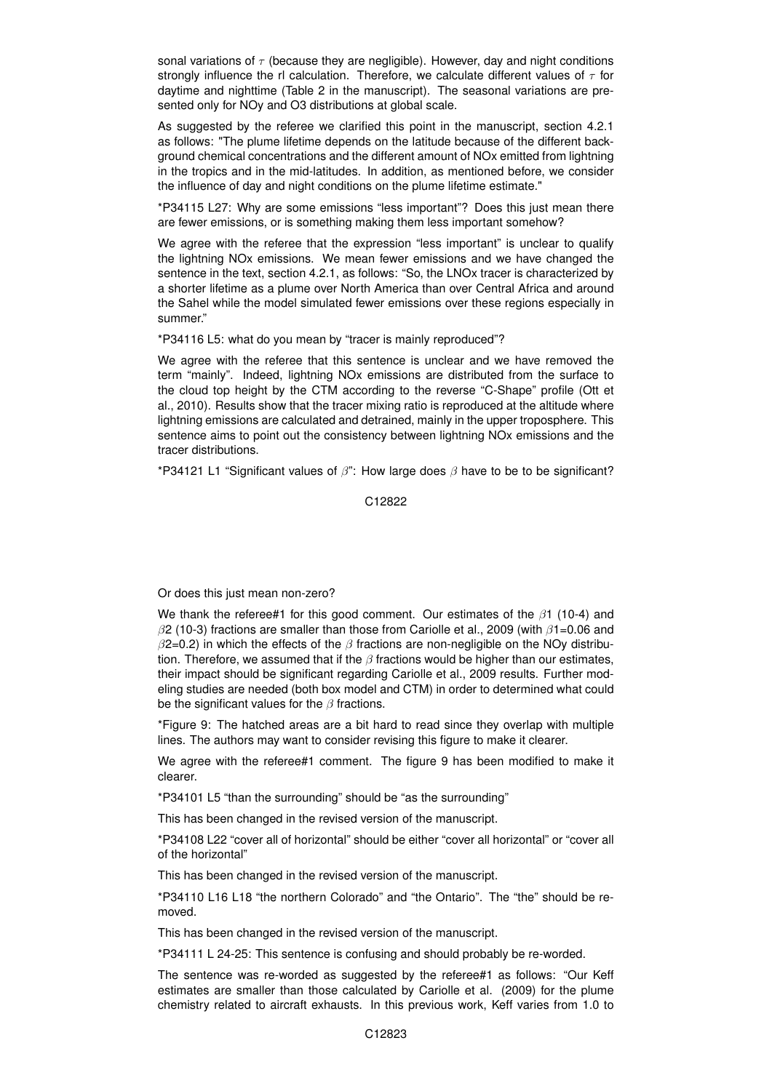sonal variations of  $\tau$  (because they are negligible). However, day and night conditions strongly influence the rl calculation. Therefore, we calculate different values of  $\tau$  for daytime and nighttime (Table 2 in the manuscript). The seasonal variations are presented only for NOy and O3 distributions at global scale.

As suggested by the referee we clarified this point in the manuscript, section 4.2.1 as follows: "The plume lifetime depends on the latitude because of the different background chemical concentrations and the different amount of NOx emitted from lightning in the tropics and in the mid-latitudes. In addition, as mentioned before, we consider the influence of day and night conditions on the plume lifetime estimate."

\*P34115 L27: Why are some emissions "less important"? Does this just mean there are fewer emissions, or is something making them less important somehow?

We agree with the referee that the expression "less important" is unclear to qualify the lightning NOx emissions. We mean fewer emissions and we have changed the sentence in the text, section 4.2.1, as follows: "So, the LNOx tracer is characterized by a shorter lifetime as a plume over North America than over Central Africa and around the Sahel while the model simulated fewer emissions over these regions especially in summer."

\*P34116 L5: what do you mean by "tracer is mainly reproduced"?

We agree with the referee that this sentence is unclear and we have removed the term "mainly". Indeed, lightning NOx emissions are distributed from the surface to the cloud top height by the CTM according to the reverse "C-Shape" profile (Ott et al., 2010). Results show that the tracer mixing ratio is reproduced at the altitude where lightning emissions are calculated and detrained, mainly in the upper troposphere. This sentence aims to point out the consistency between lightning NOx emissions and the tracer distributions.

\*P34121 L1 "Significant values of  $\beta$ ": How large does  $\beta$  have to be to be significant?

C12822

Or does this just mean non-zero?

We thank the referee#1 for this good comment. Our estimates of the  $\beta$ 1 (10-4) and  $\beta$ 2 (10-3) fractions are smaller than those from Cariolle et al., 2009 (with  $\beta$ 1=0.06 and  $\beta$ 2=0.2) in which the effects of the  $\beta$  fractions are non-negligible on the NOy distribution. Therefore, we assumed that if the  $\beta$  fractions would be higher than our estimates, their impact should be significant regarding Cariolle et al., 2009 results. Further modeling studies are needed (both box model and CTM) in order to determined what could be the significant values for the  $\beta$  fractions.

\*Figure 9: The hatched areas are a bit hard to read since they overlap with multiple lines. The authors may want to consider revising this figure to make it clearer.

We agree with the referee#1 comment. The figure 9 has been modified to make it clearer.

\*P34101 L5 "than the surrounding" should be "as the surrounding"

This has been changed in the revised version of the manuscript.

\*P34108 L22 "cover all of horizontal" should be either "cover all horizontal" or "cover all of the horizontal"

This has been changed in the revised version of the manuscript.

\*P34110 L16 L18 "the northern Colorado" and "the Ontario". The "the" should be removed.

This has been changed in the revised version of the manuscript.

\*P34111 L 24-25: This sentence is confusing and should probably be re-worded.

The sentence was re-worded as suggested by the referee#1 as follows: "Our Keff estimates are smaller than those calculated by Cariolle et al. (2009) for the plume chemistry related to aircraft exhausts. In this previous work, Keff varies from 1.0 to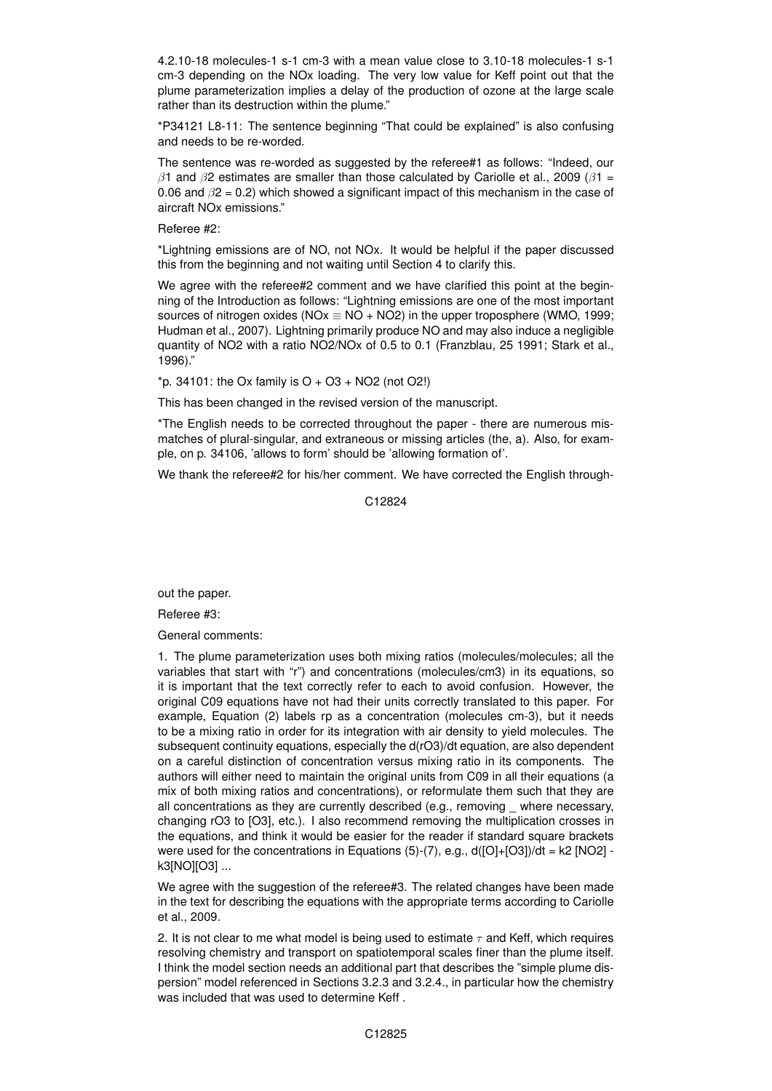4.2.10-18 molecules-1 s-1 cm-3 with a mean value close to 3.10-18 molecules-1 s-1 cm-3 depending on the NOx loading. The very low value for Keff point out that the plume parameterization implies a delay of the production of ozone at the large scale rather than its destruction within the plume."

\*P34121 L8-11: The sentence beginning "That could be explained" is also confusing and needs to be re-worded.

The sentence was re-worded as suggested by the referee#1 as follows: "Indeed, our  $β1$  and  $β2$  estimates are smaller than those calculated by Cariolle et al., 2009 ( $β1 =$ 0.06 and  $\beta$ 2 = 0.2) which showed a significant impact of this mechanism in the case of aircraft NOx emissions."

## Referee #2:

\*Lightning emissions are of NO, not NOx. It would be helpful if the paper discussed this from the beginning and not waiting until Section 4 to clarify this.

We agree with the referee#2 comment and we have clarified this point at the beginning of the Introduction as follows: "Lightning emissions are one of the most important sources of nitrogen oxides (NOx  $\equiv$  NO + NO2) in the upper troposphere (WMO, 1999; Hudman et al., 2007). Lightning primarily produce NO and may also induce a negligible quantity of NO2 with a ratio NO2/NOx of 0.5 to 0.1 (Franzblau, 25 1991; Stark et al., 1996)."

 $*$ p. 34101: the Ox family is  $O + O3 + NO2$  (not O2!)

This has been changed in the revised version of the manuscript.

\*The English needs to be corrected throughout the paper - there are numerous mismatches of plural-singular, and extraneous or missing articles (the, a). Also, for example, on p. 34106, 'allows to form' should be 'allowing formation of'.

We thank the referee#2 for his/her comment. We have corrected the English through-

C12824

out the paper.

Referee #3:

General comments:

1. The plume parameterization uses both mixing ratios (molecules/molecules; all the variables that start with "r") and concentrations (molecules/cm3) in its equations, so it is important that the text correctly refer to each to avoid confusion. However, the original C09 equations have not had their units correctly translated to this paper. For example, Equation (2) labels rp as a concentration (molecules cm-3), but it needs to be a mixing ratio in order for its integration with air density to yield molecules. The subsequent continuity equations, especially the d(rO3)/dt equation, are also dependent on a careful distinction of concentration versus mixing ratio in its components. The authors will either need to maintain the original units from C09 in all their equations (a mix of both mixing ratios and concentrations), or reformulate them such that they are all concentrations as they are currently described (e.g., removing \_ where necessary, changing rO3 to [O3], etc.). I also recommend removing the multiplication crosses in the equations, and think it would be easier for the reader if standard square brackets were used for the concentrations in Equations  $(5)-(7)$ , e.g.,  $d([O]+[O3])/dt = k2 [NO2]$ k3[NO][O3] ...

We agree with the suggestion of the referee#3. The related changes have been made in the text for describing the equations with the appropriate terms according to Cariolle et al., 2009.

2. It is not clear to me what model is being used to estimate  $\tau$  and Keff, which requires resolving chemistry and transport on spatiotemporal scales finer than the plume itself. I think the model section needs an additional part that describes the "simple plume dispersion" model referenced in Sections 3.2.3 and 3.2.4., in particular how the chemistry was included that was used to determine Keff .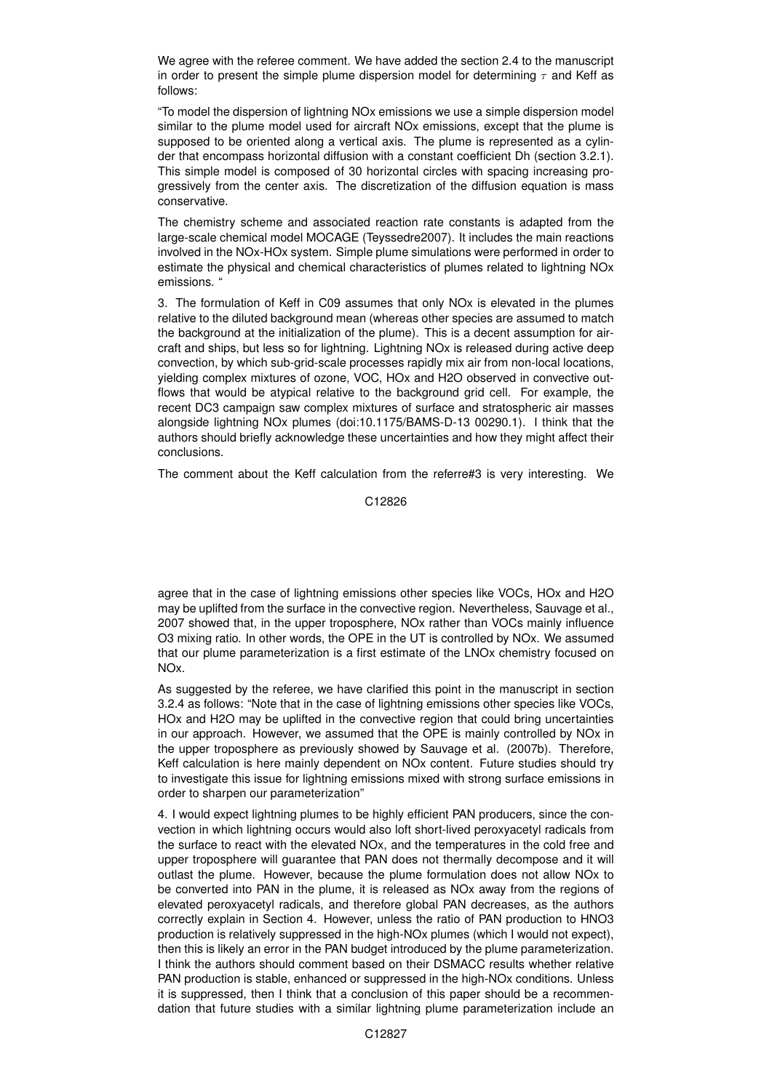We agree with the referee comment. We have added the section 2.4 to the manuscript in order to present the simple plume dispersion model for determining  $\tau$  and Keff as follows:

"To model the dispersion of lightning NOx emissions we use a simple dispersion model similar to the plume model used for aircraft NOx emissions, except that the plume is supposed to be oriented along a vertical axis. The plume is represented as a cylinder that encompass horizontal diffusion with a constant coefficient Dh (section 3.2.1). This simple model is composed of 30 horizontal circles with spacing increasing progressively from the center axis. The discretization of the diffusion equation is mass conservative.

The chemistry scheme and associated reaction rate constants is adapted from the large-scale chemical model MOCAGE (Teyssedre2007). It includes the main reactions involved in the NOx-HOx system. Simple plume simulations were performed in order to estimate the physical and chemical characteristics of plumes related to lightning NOx emissions. "

3. The formulation of Keff in C09 assumes that only NOx is elevated in the plumes relative to the diluted background mean (whereas other species are assumed to match the background at the initialization of the plume). This is a decent assumption for aircraft and ships, but less so for lightning. Lightning NOx is released during active deep convection, by which sub-grid-scale processes rapidly mix air from non-local locations, yielding complex mixtures of ozone, VOC, HOx and H2O observed in convective outflows that would be atypical relative to the background grid cell. For example, the recent DC3 campaign saw complex mixtures of surface and stratospheric air masses alongside lightning NOx plumes (doi:10.1175/BAMS-D-13 00290.1). I think that the authors should briefly acknowledge these uncertainties and how they might affect their conclusions.

The comment about the Keff calculation from the referre#3 is very interesting. We

C12826

agree that in the case of lightning emissions other species like VOCs, HOx and H2O may be uplifted from the surface in the convective region. Nevertheless, Sauvage et al., 2007 showed that, in the upper troposphere, NOx rather than VOCs mainly influence O3 mixing ratio. In other words, the OPE in the UT is controlled by NOx. We assumed that our plume parameterization is a first estimate of the LNOx chemistry focused on NOx.

As suggested by the referee, we have clarified this point in the manuscript in section 3.2.4 as follows: "Note that in the case of lightning emissions other species like VOCs, HOx and H2O may be uplifted in the convective region that could bring uncertainties in our approach. However, we assumed that the OPE is mainly controlled by NOx in the upper troposphere as previously showed by Sauvage et al. (2007b). Therefore, Keff calculation is here mainly dependent on NOx content. Future studies should try to investigate this issue for lightning emissions mixed with strong surface emissions in order to sharpen our parameterization"

4. I would expect lightning plumes to be highly efficient PAN producers, since the convection in which lightning occurs would also loft short-lived peroxyacetyl radicals from the surface to react with the elevated NOx, and the temperatures in the cold free and upper troposphere will guarantee that PAN does not thermally decompose and it will outlast the plume. However, because the plume formulation does not allow NOx to be converted into PAN in the plume, it is released as NOx away from the regions of elevated peroxyacetyl radicals, and therefore global PAN decreases, as the authors correctly explain in Section 4. However, unless the ratio of PAN production to HNO3 production is relatively suppressed in the high-NOx plumes (which I would not expect), then this is likely an error in the PAN budget introduced by the plume parameterization. I think the authors should comment based on their DSMACC results whether relative PAN production is stable, enhanced or suppressed in the high-NOx conditions. Unless it is suppressed, then I think that a conclusion of this paper should be a recommendation that future studies with a similar lightning plume parameterization include an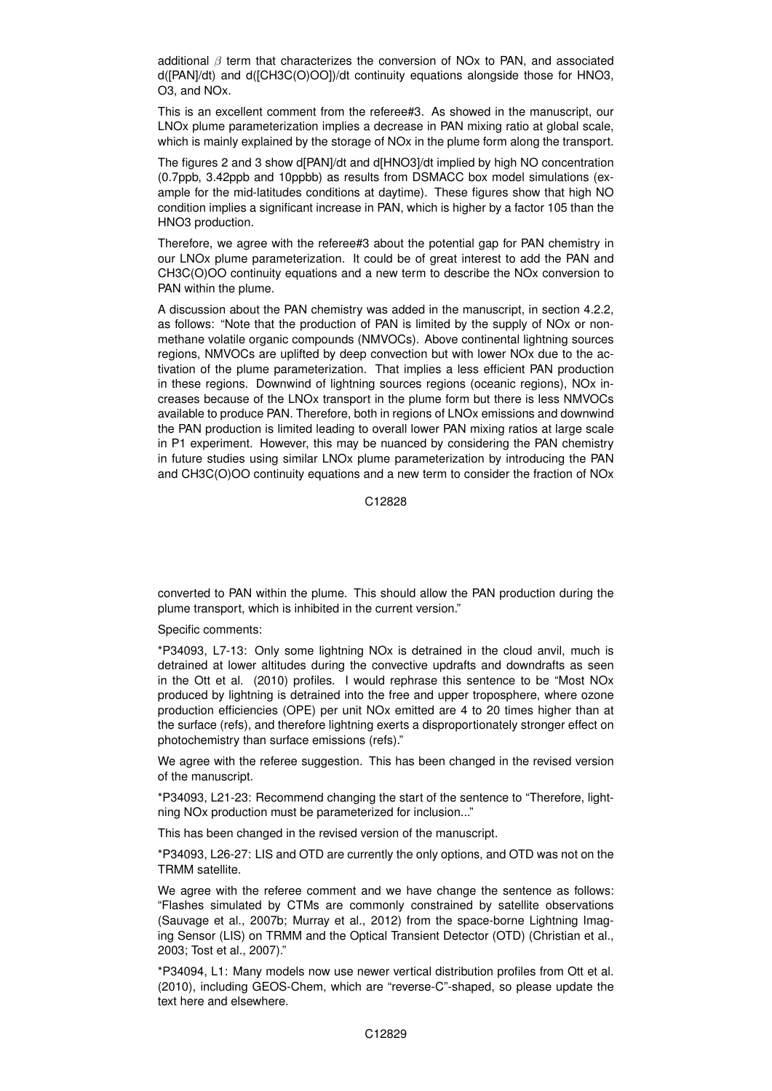additional  $\beta$  term that characterizes the conversion of NOx to PAN, and associated d([PAN]/dt) and d([CH3C(O)OO])/dt continuity equations alongside those for HNO3, O3, and NOx.

This is an excellent comment from the referee#3. As showed in the manuscript, our LNOx plume parameterization implies a decrease in PAN mixing ratio at global scale, which is mainly explained by the storage of NOx in the plume form along the transport.

The figures 2 and 3 show d[PAN]/dt and d[HNO3]/dt implied by high NO concentration (0.7ppb, 3.42ppb and 10ppbb) as results from DSMACC box model simulations (example for the mid-latitudes conditions at daytime). These figures show that high NO condition implies a significant increase in PAN, which is higher by a factor 105 than the HNO3 production.

Therefore, we agree with the referee#3 about the potential gap for PAN chemistry in our LNOx plume parameterization. It could be of great interest to add the PAN and CH3C(O)OO continuity equations and a new term to describe the NOx conversion to PAN within the plume.

A discussion about the PAN chemistry was added in the manuscript, in section 4.2.2, as follows: "Note that the production of PAN is limited by the supply of NOx or nonmethane volatile organic compounds (NMVOCs). Above continental lightning sources regions, NMVOCs are uplifted by deep convection but with lower NOx due to the activation of the plume parameterization. That implies a less efficient PAN production in these regions. Downwind of lightning sources regions (oceanic regions), NOx increases because of the LNOx transport in the plume form but there is less NMVOCs available to produce PAN. Therefore, both in regions of LNOx emissions and downwind the PAN production is limited leading to overall lower PAN mixing ratios at large scale in P1 experiment. However, this may be nuanced by considering the PAN chemistry in future studies using similar LNOx plume parameterization by introducing the PAN and CH3C(O)OO continuity equations and a new term to consider the fraction of NOx

C12828

converted to PAN within the plume. This should allow the PAN production during the plume transport, which is inhibited in the current version."

Specific comments:

\*P34093, L7-13: Only some lightning NOx is detrained in the cloud anvil, much is detrained at lower altitudes during the convective updrafts and downdrafts as seen in the Ott et al. (2010) profiles. I would rephrase this sentence to be "Most NOx produced by lightning is detrained into the free and upper troposphere, where ozone production efficiencies (OPE) per unit NOx emitted are 4 to 20 times higher than at the surface (refs), and therefore lightning exerts a disproportionately stronger effect on photochemistry than surface emissions (refs)."

We agree with the referee suggestion. This has been changed in the revised version of the manuscript.

\*P34093, L21-23: Recommend changing the start of the sentence to "Therefore, lightning NOx production must be parameterized for inclusion..."

This has been changed in the revised version of the manuscript.

\*P34093, L26-27: LIS and OTD are currently the only options, and OTD was not on the TRMM satellite.

We agree with the referee comment and we have change the sentence as follows: "Flashes simulated by CTMs are commonly constrained by satellite observations (Sauvage et al., 2007b; Murray et al., 2012) from the space-borne Lightning Imaging Sensor (LIS) on TRMM and the Optical Transient Detector (OTD) (Christian et al., 2003; Tost et al., 2007)."

\*P34094, L1: Many models now use newer vertical distribution profiles from Ott et al. (2010), including GEOS-Chem, which are "reverse-C"-shaped, so please update the text here and elsewhere.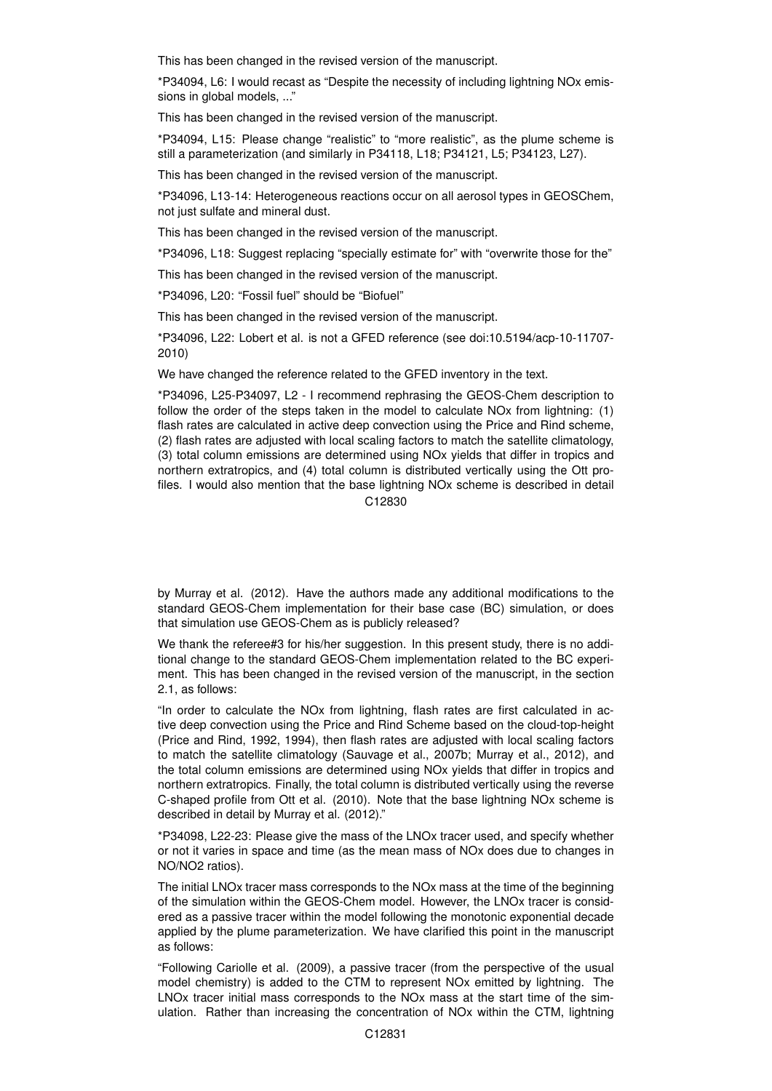This has been changed in the revised version of the manuscript.

\*P34094, L6: I would recast as "Despite the necessity of including lightning NOx emissions in global models, ..."

This has been changed in the revised version of the manuscript.

\*P34094, L15: Please change "realistic" to "more realistic", as the plume scheme is still a parameterization (and similarly in P34118, L18; P34121, L5; P34123, L27).

This has been changed in the revised version of the manuscript.

\*P34096, L13-14: Heterogeneous reactions occur on all aerosol types in GEOSChem, not just sulfate and mineral dust.

This has been changed in the revised version of the manuscript.

\*P34096, L18: Suggest replacing "specially estimate for" with "overwrite those for the"

This has been changed in the revised version of the manuscript.

\*P34096, L20: "Fossil fuel" should be "Biofuel"

This has been changed in the revised version of the manuscript.

\*P34096, L22: Lobert et al. is not a GFED reference (see doi:10.5194/acp-10-11707- 2010)

We have changed the reference related to the GFED inventory in the text.

\*P34096, L25-P34097, L2 - I recommend rephrasing the GEOS-Chem description to follow the order of the steps taken in the model to calculate NOx from lightning: (1) flash rates are calculated in active deep convection using the Price and Rind scheme, (2) flash rates are adjusted with local scaling factors to match the satellite climatology, (3) total column emissions are determined using NOx yields that differ in tropics and northern extratropics, and (4) total column is distributed vertically using the Ott profiles. I would also mention that the base lightning NOx scheme is described in detail C12830

by Murray et al. (2012). Have the authors made any additional modifications to the standard GEOS-Chem implementation for their base case (BC) simulation, or does

that simulation use GEOS-Chem as is publicly released? We thank the referee#3 for his/her suggestion. In this present study, there is no addi-

tional change to the standard GEOS-Chem implementation related to the BC experiment. This has been changed in the revised version of the manuscript, in the section 2.1, as follows:

"In order to calculate the NOx from lightning, flash rates are first calculated in active deep convection using the Price and Rind Scheme based on the cloud-top-height (Price and Rind, 1992, 1994), then flash rates are adjusted with local scaling factors to match the satellite climatology (Sauvage et al., 2007b; Murray et al., 2012), and the total column emissions are determined using NOx yields that differ in tropics and northern extratropics. Finally, the total column is distributed vertically using the reverse C-shaped profile from Ott et al. (2010). Note that the base lightning NOx scheme is described in detail by Murray et al. (2012)."

\*P34098, L22-23: Please give the mass of the LNOx tracer used, and specify whether or not it varies in space and time (as the mean mass of NOx does due to changes in NO/NO2 ratios).

The initial LNOx tracer mass corresponds to the NOx mass at the time of the beginning of the simulation within the GEOS-Chem model. However, the LNOx tracer is considered as a passive tracer within the model following the monotonic exponential decade applied by the plume parameterization. We have clarified this point in the manuscript as follows:

"Following Cariolle et al. (2009), a passive tracer (from the perspective of the usual model chemistry) is added to the CTM to represent NOx emitted by lightning. The LNOx tracer initial mass corresponds to the NOx mass at the start time of the simulation. Rather than increasing the concentration of NOx within the CTM, lightning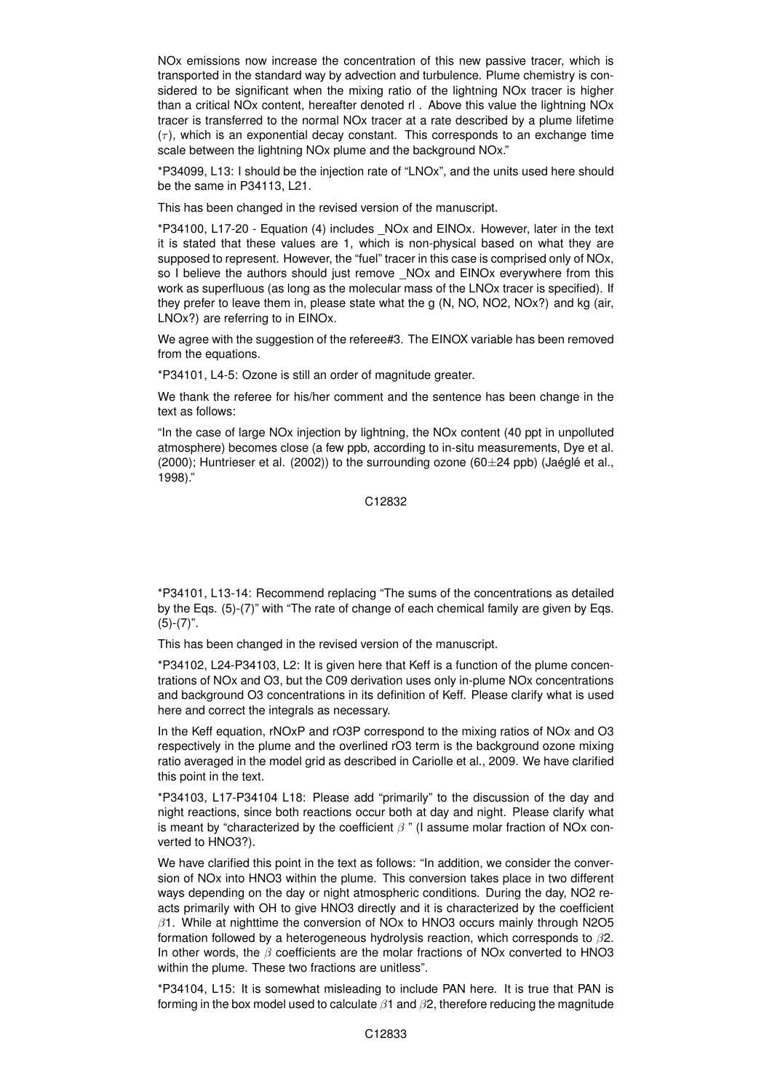NOx emissions now increase the concentration of this new passive tracer, which is transported in the standard way by advection and turbulence. Plume chemistry is considered to be significant when the mixing ratio of the lightning NOx tracer is higher than a critical NOx content, hereafter denoted rl . Above this value the lightning NOx tracer is transferred to the normal NOx tracer at a rate described by a plume lifetime  $(\tau)$ , which is an exponential decay constant. This corresponds to an exchange time scale between the lightning NOx plume and the background NOx."

\*P34099, L13: I should be the injection rate of "LNOx", and the units used here should be the same in P34113, L21.

This has been changed in the revised version of the manuscript.

\*P34100, L17-20 - Equation (4) includes \_NOx and EINOx. However, later in the text it is stated that these values are 1, which is non-physical based on what they are supposed to represent. However, the "fuel" tracer in this case is comprised only of NOx, so I believe the authors should just remove \_NOx and EINOx everywhere from this work as superfluous (as long as the molecular mass of the LNOx tracer is specified). If they prefer to leave them in, please state what the g (N, NO, NO2, NOx?) and kg (air, LNOx?) are referring to in EINOx.

We agree with the suggestion of the referee#3. The EINOX variable has been removed from the equations.

\*P34101, L4-5: Ozone is still an order of magnitude greater.

We thank the referee for his/her comment and the sentence has been change in the text as follows:

"In the case of large NOx injection by lightning, the NOx content (40 ppt in unpolluted atmosphere) becomes close (a few ppb, according to in-situ measurements, Dye et al.  $(2000)$ ; Huntrieser et al.  $(2002)$ ) to the surrounding ozone  $(60\pm 24$  ppb) (Jaéglé et al., 1998)."

C12832

\*P34101, L13-14: Recommend replacing "The sums of the concentrations as detailed by the Eqs. (5)-(7)" with "The rate of change of each chemical family are given by Eqs.  $(5)-(7)$ ".

This has been changed in the revised version of the manuscript.

\*P34102, L24-P34103, L2: It is given here that Keff is a function of the plume concentrations of NOx and O3, but the C09 derivation uses only in-plume NOx concentrations and background O3 concentrations in its definition of Keff. Please clarify what is used here and correct the integrals as necessary.

In the Keff equation, rNOxP and rO3P correspond to the mixing ratios of NOx and O3 respectively in the plume and the overlined rO3 term is the background ozone mixing ratio averaged in the model grid as described in Cariolle et al., 2009. We have clarified this point in the text.

\*P34103, L17-P34104 L18: Please add "primarily" to the discussion of the day and night reactions, since both reactions occur both at day and night. Please clarify what is meant by "characterized by the coefficient  $\beta$ " (I assume molar fraction of NOx converted to HNO3?).

We have clarified this point in the text as follows: "In addition, we consider the conversion of NOx into HNO3 within the plume. This conversion takes place in two different ways depending on the day or night atmospheric conditions. During the day, NO2 reacts primarily with OH to give HNO3 directly and it is characterized by the coefficient  $\beta$ 1. While at nighttime the conversion of NOx to HNO3 occurs mainly through N2O5 formation followed by a heterogeneous hydrolysis reaction, which corresponds to  $\beta$ 2. In other words, the  $\beta$  coefficients are the molar fractions of NOx converted to HNO3 within the plume. These two fractions are unitless".

\*P34104, L15: It is somewhat misleading to include PAN here. It is true that PAN is forming in the box model used to calculate  $\beta$ 1 and  $\beta$ 2, therefore reducing the magnitude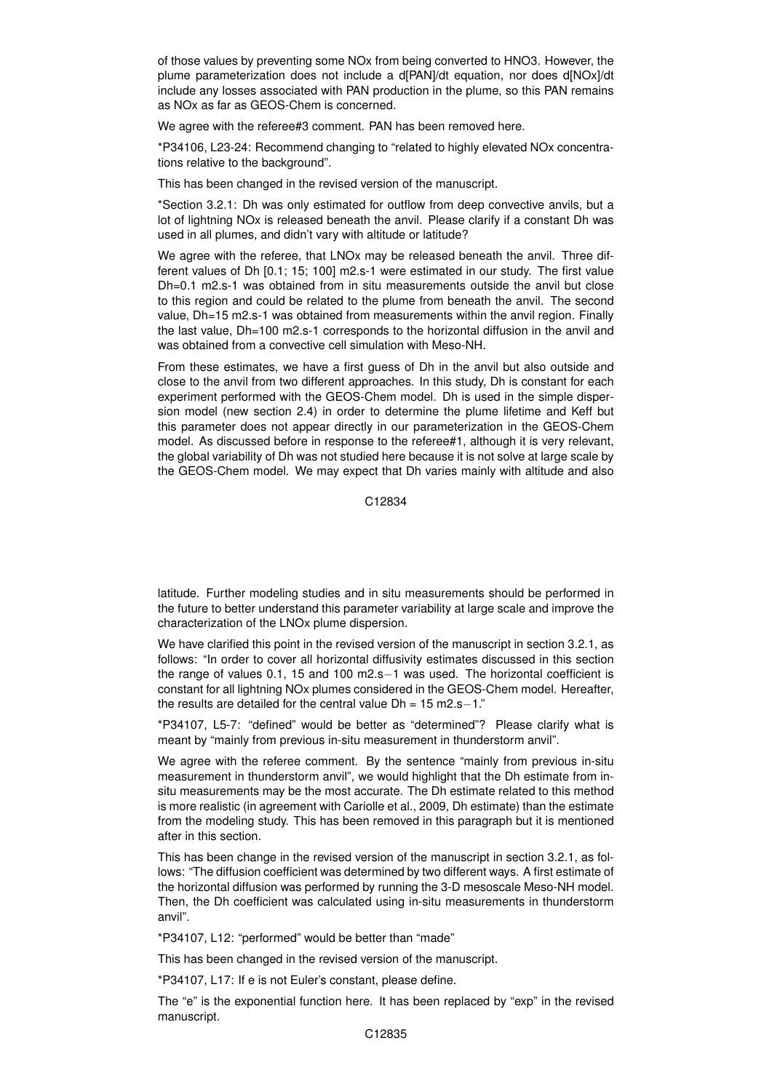of those values by preventing some NOx from being converted to HNO3. However, the plume parameterization does not include a d[PAN]/dt equation, nor does d[NOx]/dt include any losses associated with PAN production in the plume, so this PAN remains as NOx as far as GEOS-Chem is concerned.

We agree with the referee#3 comment. PAN has been removed here.

\*P34106, L23-24: Recommend changing to "related to highly elevated NOx concentrations relative to the background".

This has been changed in the revised version of the manuscript.

\*Section 3.2.1: Dh was only estimated for outflow from deep convective anvils, but a lot of lightning NOx is released beneath the anvil. Please clarify if a constant Dh was used in all plumes, and didn't vary with altitude or latitude?

We agree with the referee, that LNOx may be released beneath the anvil. Three different values of Dh [0.1; 15; 100] m2.s-1 were estimated in our study. The first value Dh=0.1 m2.s-1 was obtained from in situ measurements outside the anvil but close to this region and could be related to the plume from beneath the anvil. The second value, Dh=15 m2.s-1 was obtained from measurements within the anvil region. Finally the last value, Dh=100 m2.s-1 corresponds to the horizontal diffusion in the anvil and was obtained from a convective cell simulation with Meso-NH.

From these estimates, we have a first guess of Dh in the anvil but also outside and close to the anvil from two different approaches. In this study, Dh is constant for each experiment performed with the GEOS-Chem model. Dh is used in the simple dispersion model (new section 2.4) in order to determine the plume lifetime and Keff but this parameter does not appear directly in our parameterization in the GEOS-Chem model. As discussed before in response to the referee#1, although it is very relevant, the global variability of Dh was not studied here because it is not solve at large scale by the GEOS-Chem model. We may expect that Dh varies mainly with altitude and also

C12834

latitude. Further modeling studies and in situ measurements should be performed in the future to better understand this parameter variability at large scale and improve the characterization of the LNOx plume dispersion.

We have clarified this point in the revised version of the manuscript in section 3.2.1, as follows: "In order to cover all horizontal diffusivity estimates discussed in this section the range of values 0.1, 15 and 100 m2.s−1 was used. The horizontal coefficient is constant for all lightning NOx plumes considered in the GEOS-Chem model. Hereafter, the results are detailed for the central value Dh = 15 m2.s−1."

\*P34107, L5-7: "defined" would be better as "determined"? Please clarify what is meant by "mainly from previous in-situ measurement in thunderstorm anvil".

We agree with the referee comment. By the sentence "mainly from previous in-situ measurement in thunderstorm anvil", we would highlight that the Dh estimate from insitu measurements may be the most accurate. The Dh estimate related to this method is more realistic (in agreement with Cariolle et al., 2009, Dh estimate) than the estimate from the modeling study. This has been removed in this paragraph but it is mentioned after in this section.

This has been change in the revised version of the manuscript in section 3.2.1, as follows: "The diffusion coefficient was determined by two different ways. A first estimate of the horizontal diffusion was performed by running the 3-D mesoscale Meso-NH model. Then, the Dh coefficient was calculated using in-situ measurements in thunderstorm anvil".

\*P34107, L12: "performed" would be better than "made"

This has been changed in the revised version of the manuscript.

\*P34107, L17: If e is not Euler's constant, please define.

The "e" is the exponential function here. It has been replaced by "exp" in the revised manuscript.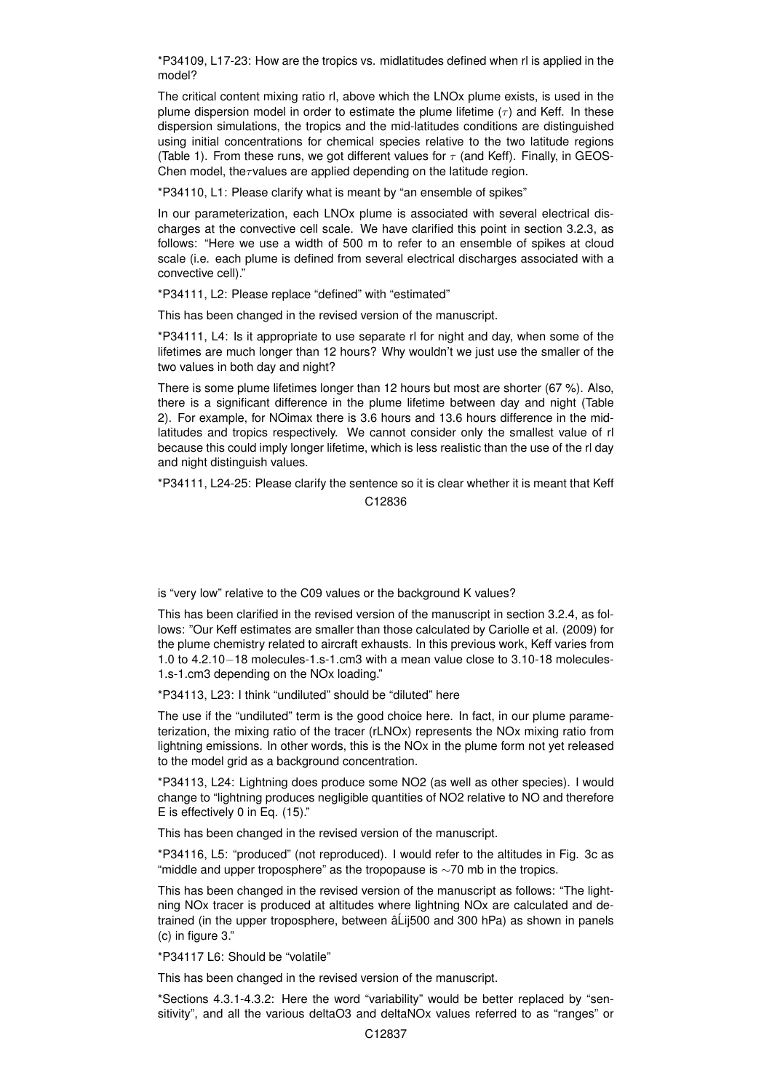\*P34109, L17-23: How are the tropics vs. midlatitudes defined when rl is applied in the model?

The critical content mixing ratio rl, above which the LNOx plume exists, is used in the plume dispersion model in order to estimate the plume lifetime  $(\tau)$  and Keff. In these dispersion simulations, the tropics and the mid-latitudes conditions are distinguished using initial concentrations for chemical species relative to the two latitude regions (Table 1). From these runs, we got different values for  $\tau$  (and Keff). Finally, in GEOS-Chen model, the $\tau$ values are applied depending on the latitude region.

\*P34110, L1: Please clarify what is meant by "an ensemble of spikes"

In our parameterization, each LNOx plume is associated with several electrical discharges at the convective cell scale. We have clarified this point in section 3.2.3, as follows: "Here we use a width of 500 m to refer to an ensemble of spikes at cloud scale (i.e. each plume is defined from several electrical discharges associated with a convective cell)."

\*P34111, L2: Please replace "defined" with "estimated"

This has been changed in the revised version of the manuscript.

\*P34111, L4: Is it appropriate to use separate rl for night and day, when some of the lifetimes are much longer than 12 hours? Why wouldn't we just use the smaller of the two values in both day and night?

There is some plume lifetimes longer than 12 hours but most are shorter (67 %). Also, there is a significant difference in the plume lifetime between day and night (Table 2). For example, for NOimax there is 3.6 hours and 13.6 hours difference in the midlatitudes and tropics respectively. We cannot consider only the smallest value of rl because this could imply longer lifetime, which is less realistic than the use of the rl day and night distinguish values.

\*P34111, L24-25: Please clarify the sentence so it is clear whether it is meant that Keff C12836

is "very low" relative to the C09 values or the background K values?

This has been clarified in the revised version of the manuscript in section 3.2.4, as follows: "Our Keff estimates are smaller than those calculated by Cariolle et al. (2009) for the plume chemistry related to aircraft exhausts. In this previous work, Keff varies from 1.0 to 4.2.10−18 molecules-1.s-1.cm3 with a mean value close to 3.10-18 molecules-1.s-1.cm3 depending on the NOx loading."

\*P34113, L23: I think "undiluted" should be "diluted" here

The use if the "undiluted" term is the good choice here. In fact, in our plume parameterization, the mixing ratio of the tracer (rLNOx) represents the NOx mixing ratio from lightning emissions. In other words, this is the NOx in the plume form not yet released to the model grid as a background concentration.

\*P34113, L24: Lightning does produce some NO2 (as well as other species). I would change to "lightning produces negligible quantities of NO2 relative to NO and therefore E is effectively 0 in Eq. (15)."

This has been changed in the revised version of the manuscript.

\*P34116, L5: "produced" (not reproduced). I would refer to the altitudes in Fig. 3c as "middle and upper troposphere" as the tropopause is  $\sim$ 70 mb in the tropics.

This has been changed in the revised version of the manuscript as follows: "The lightning NOx tracer is produced at altitudes where lightning NOx are calculated and detrained (in the upper troposphere, between  $\hat{a}$ Lij500 and 300 hPa) as shown in panels (c) in figure 3."

\*P34117 L6: Should be "volatile"

This has been changed in the revised version of the manuscript.

\*Sections 4.3.1-4.3.2: Here the word "variability" would be better replaced by "sensitivity", and all the various deltaO3 and deltaNOx values referred to as "ranges" or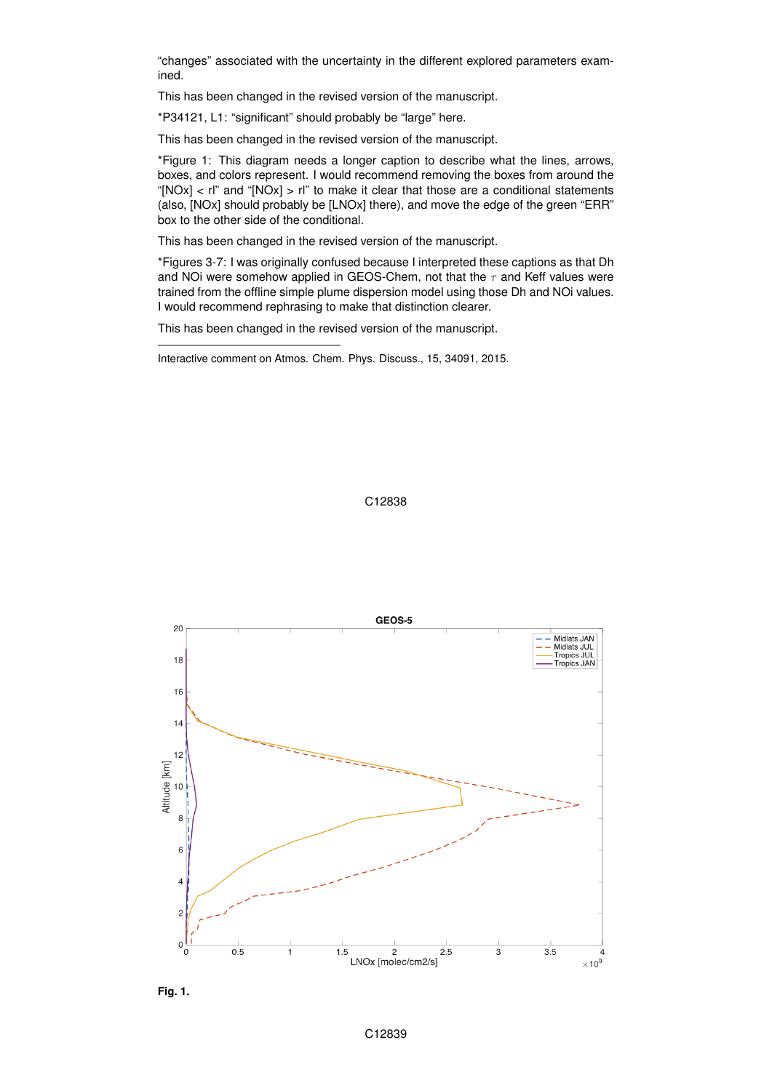"changes" associated with the uncertainty in the different explored parameters examined.

This has been changed in the revised version of the manuscript.

\*P34121, L1: "significant" should probably be "large" here.

This has been changed in the revised version of the manuscript.

\*Figure 1: This diagram needs a longer caption to describe what the lines, arrows, boxes, and colors represent. I would recommend removing the boxes from around the "[NOx] <  $rI$ " and "[NOx] >  $rI$ " to make it clear that those are a conditional statements (also, [NOx] should probably be [LNOx] there), and move the edge of the green "ERR" box to the other side of the conditional.

This has been changed in the revised version of the manuscript.

\*Figures 3-7: I was originally confused because I interpreted these captions as that Dh and NOi were somehow applied in GEOS-Chem, not that the  $\tau$  and Keff values were trained from the offline simple plume dispersion model using those Dh and NOi values. I would recommend rephrasing to make that distinction clearer.

This has been changed in the revised version of the manuscript.

Interactive comment on Atmos. Chem. Phys. Discuss., 15, 34091, 2015.

## C12838



**Fig. 1.**